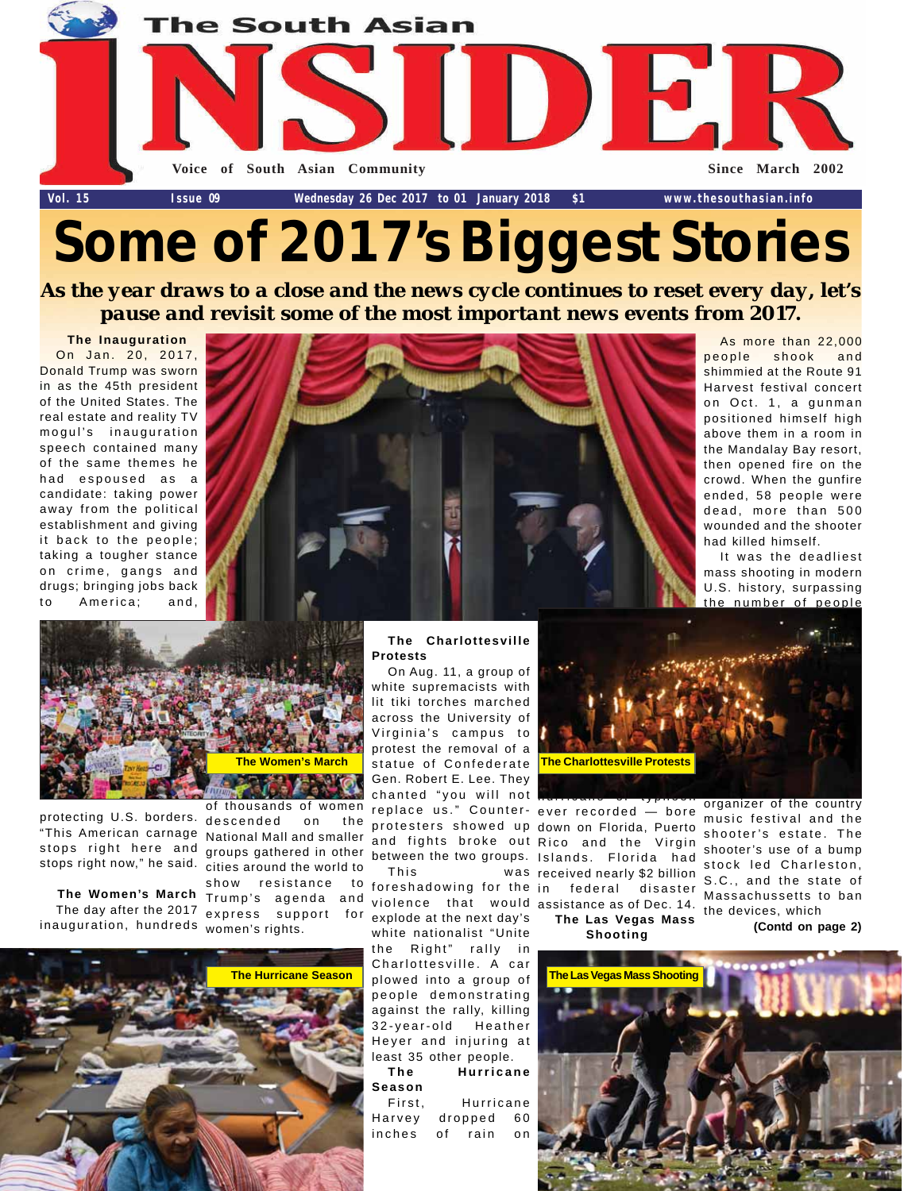

# **Some of 2017's Biggest Stories**

*As the year draws to a close and the news cycle continues to reset every day, let's pause and revisit some of the most important news events from 2017.*

**The Inauguration**

On Jan. 20, 2017, Donald Trump was sworn in as the 45th president of the United States. The real estate and reality TV mogul's inauguration speech contained many of the same themes he had espoused as a candidate: taking power away from the political establishment and giving it back to the people; taking a tougher stance on crime, gangs and drugs; bringing jobs back to America; and,



As more than 22,000 people shook and shimmied at the Route 91 Harvest festival concert on Oct. 1, a gunman positioned himself high above them in a room in the Mandalay Bay resort, then opened fire on the crowd. When the gunfire ended, 58 people were dead, more than 500 wounded and the shooter had killed himself.

It was the deadliest mass shooting in modern U.S. history, surpassing the number of people



protecting U.S. borders. "This American carnage stops right here and groups gathered in other

**The Women's March** inauguration, hundreds women's rights.

stops right now," he said. cities around the world to The day after the 2017 express support for descended on the National Mall and smaller show resistance to Trump's agenda and



On Aug. 11, a group of white supremacists with lit tiki torches marched across the University of Virginia's campus to protest the removal of a statue of Confederate Gen. Robert E. Lee. They chanted "you will not replace us." Counterprotesters showed up down on Florida, Puerto and fights broke out Rico and the Virgin between the two groups. Islands. Florida had foreshadowing for the violence that would assistance as of Dec. 14.

explode at the next day's white nationalist "Unite the Right" rally in

Charlottesville. A car people demonstrating against the rally, killing 32-year-old Heather Heyer and injuring at least 35 other people.

**The Hurricane Season**

First, Hurricane Harvey dropped 60 inches of rain on



This was received nearly \$2 billion hurricane or typhoon ever recorded — bore federal disaster **The Las Vegas Mass**

organizer of the country music festival and the shooter's estate. The shooter's use of a bump

**Shooting**





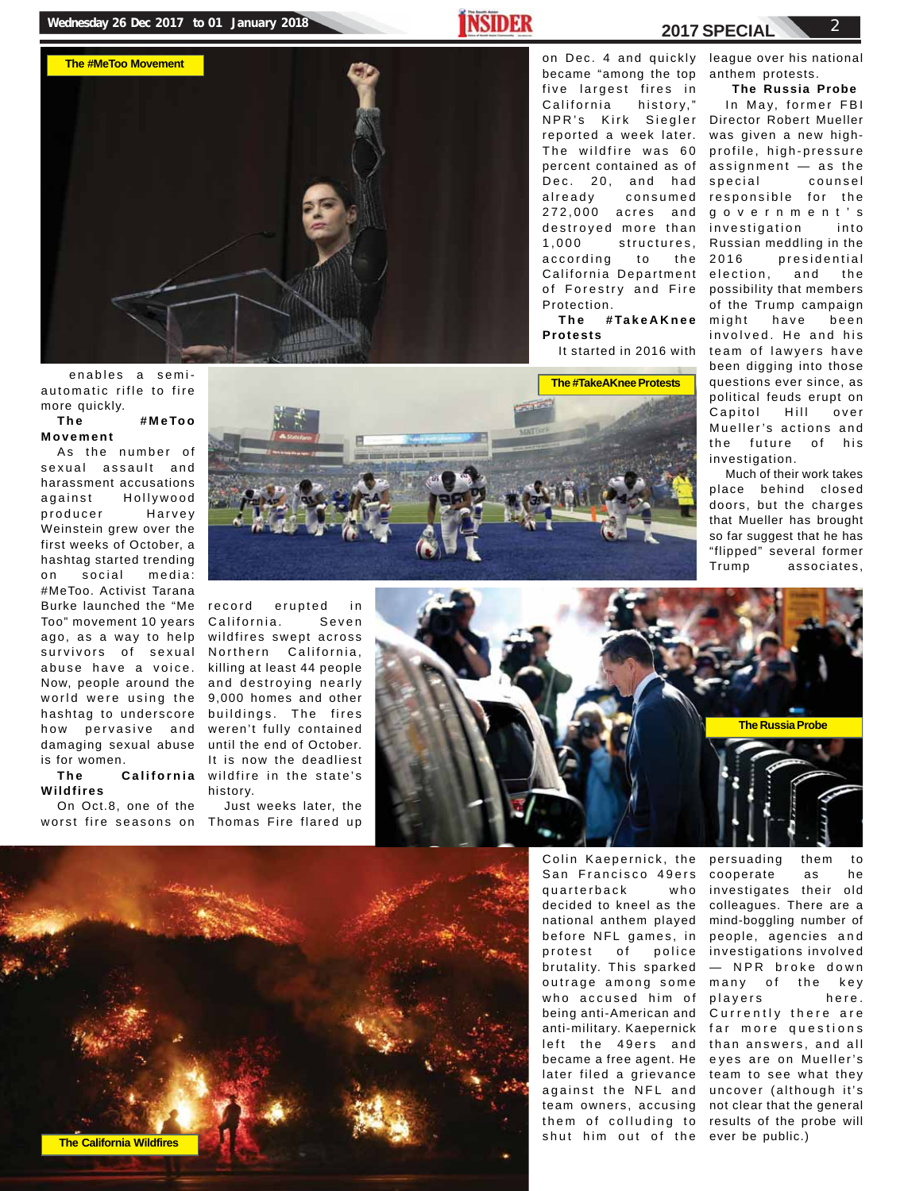# **Wednesday 26 Dec 2017 to 01 January 2018** 2018



**2017 SPECIAL**

on Dec. 4 and quickly league over his national became "among the top five largest fires in California history," NPR's Kirk Siegler Director Robert Mueller reported a week later. The wildfire was 60 percent contained as of Dec. 20, and had already consumed 272,000 acres and destroyed more than 1,000 structures, according to the California Department of Forestry and Fire Protection.

**The #TakeAKnee Protests**

It started in 2016 with

anthem protests.

**The Russia Probe** In May, former FBI was given a new highprofile, high-pressure assignment — as the special counsel responsible for the government's investigation into Russian meddling in the 2016 presidential election, and the possibility that members of the Trump campaign might have been involved. He and his team of lawyers have been digging into those questions ever since, as political feuds erupt on Capitol Hill over Mueller's actions and the future of his investigation.

Much of their work takes place behind closed doors, but the charges that Mueller has brought so far suggest that he has "flipped" several former Trump associates,

automatic rifle to fire more quickly.

## **The #MeToo Movement**

As the number of sexual assault and harassment accusations against Hollywood producer Harvey Weinstein grew over the first weeks of October, a hashtag started trending on social media: #MeToo. Activist Tarana Burke launched the "Me Too" movement 10 years California. Seven ago, as a way to help survivors of sexual abuse have a voice. Now, people around the world were using the hashtag to underscore how pervasive and damaging sexual abuse is for women.

**Wildfires**

On Oct.8, one of the



**The California** wildfire in the state's erupted in wildfires swept across Northern California, killing at least 44 people and destroying nearly 9,000 homes and other buildings. The fires weren't fully contained until the end of October. It is now the deadliest history.

worst fire seasons on Thomas Fire flared up Just weeks later, the





Colin Kaepernick, the San Francisco 49ers quarterback who decided to kneel as the national anthem played before NFL games, in protest of police brutality. This sparked outrage among some who accused him of being anti-American and anti-military. Kaepernick left the 49ers and became a free agent. He later filed a grievance team to see what they against the NFL and uncover (although it's team owners, accusing not clear that the general them of colluding to results of the probe will shut him out of the ever be public.)

persuading them to cooperate as he investigates their old colleagues. There are a mind-boggling number of people, agencies and investigations involved — NPR broke down many of the key players here. Currently there are far more questions than answers, and all eyes are on Mueller's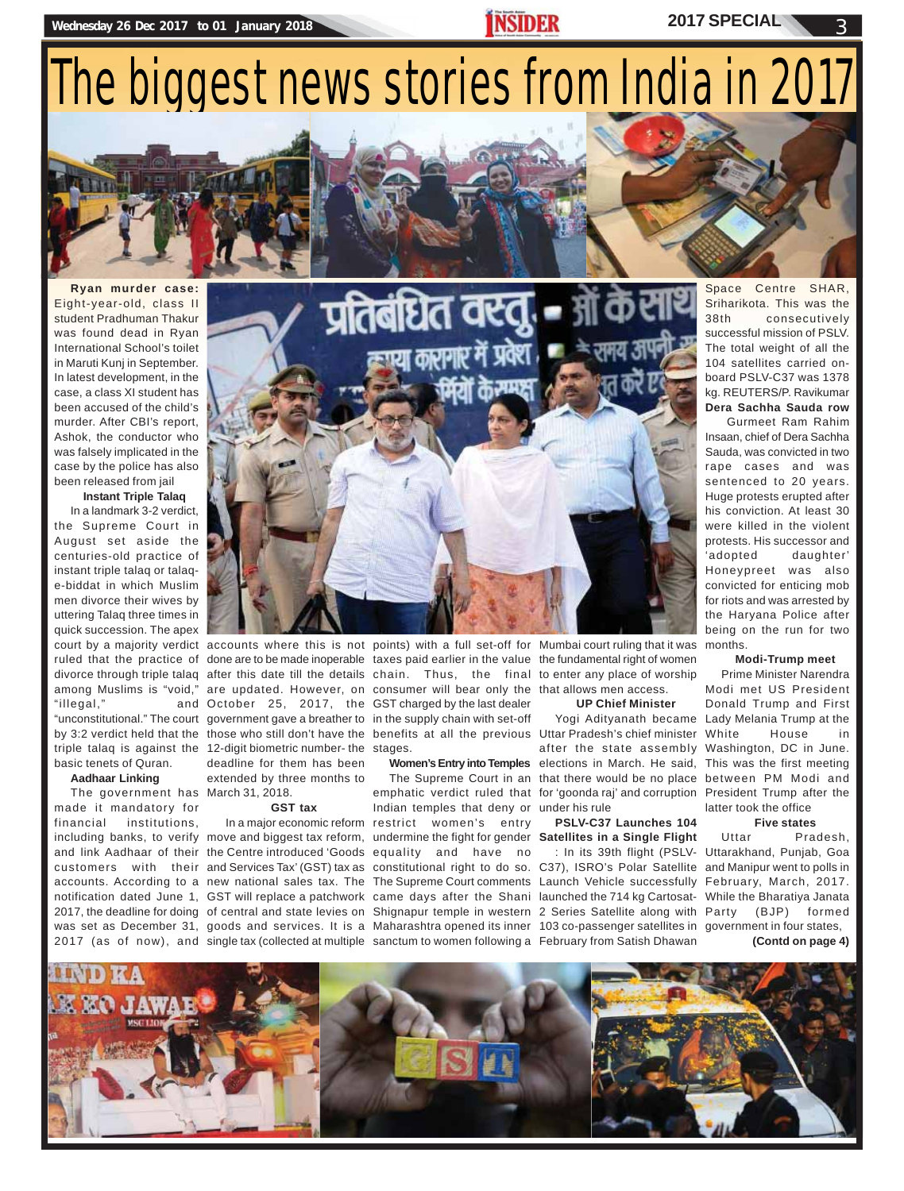# The biggest news stories from India in 2017

**Ryan murder case:** Eight-year-old, class II student Pradhuman Thakur was found dead in Ryan International School's toilet in Maruti Kunj in September. In latest development, in the case, a class XI student has been accused of the child's murder. After CBI's report, Ashok, the conductor who was falsely implicated in the case by the police has also been released from jail

**Instant Triple Talaq**

In a landmark 3-2 verdict, the Supreme Court in August set aside the centuries-old practice of instant triple talaq or talaqe-biddat in which Muslim men divorce their wives by uttering Talaq three times in quick succession. The apex "illegal,"

basic tenets of Quran.

## **Aadhaar Linking**

The government has March 31, 2018. made it mandatory for financial institutions,



ruled that the practice of done are to be made inoperable taxes paid earlier in the value the fundamental right of women divorce through triple talaq after this date till the details chain. Thus, the final to enter any place of worship among Muslims is "void," are updated. However, on consumer will bear only the that allows men access. "unconstitutional." The court government gave a breather to in the supply chain with set-off by 3:2 verdict held that the those who still don't have the benefits at all the previous Uttar Pradesh's chief minister triple talaq is against the 12-digit biometric number- the stages. October 25, 2017, the GST charged by the last dealer deadline for them has been extended by three months to

### **GST tax**

including banks, to verify move and biggest tax reform, undermine the fight for gender Satellites in a Single Flight and link Aadhaar of their the Centre introduced 'Goods equality and have no 2017, the deadline for doing of central and state levies on Shignapur temple in western 2 Series Satellite along with

court by a majority verdict accounts where this is not points) with a full set-off for Mumbai court ruling that it was months.

 In a major economic reform restrict women's entry Indian temples that deny or under his rule

### **UP Chief Minister**

Women's Entry into Temples elections in March. He said, This was the first meeting The Supreme Court in an that there would be no place between PM Modi and emphatic verdict ruled that for 'goonda raj' and corruption President Trump after the Yogi Adityanath became Lady Melania Trump at the after the state assembly Washington, DC in June.

# **PSLV-C37 Launches 104**

customers with their and Services Tax' (GST) tax as constitutional right to do so. C37), ISRO's Polar Satellite and Manipur went to polls in accounts. According to a new national sales tax. The The Supreme Court comments Launch Vehicle successfully February, March, 2017. notification dated June 1, GST will replace a patchwork came days after the Shani launched the 714 kg Cartosat- While the Bharatiya Janata was set as December 31, goods and services. It is a Maharashtra opened its inner 103 co-passenger satellites in government in four states, 2017 (as of now), and single tax (collected at multiple sanctum to women following a February from Satish Dhawan

Space Centre SHAR, Sriharikota. This was the 38th consecutively successful mission of PSLV. The total weight of all the 104 satellites carried onboard PSLV-C37 was 1378 kg. REUTERS/P. Ravikumar **Dera Sachha Sauda row**

 Gurmeet Ram Rahim Insaan, chief of Dera Sachha Sauda, was convicted in two rape cases and was sentenced to 20 years. Huge protests erupted after his conviction. At least 30 were killed in the violent protests. His successor and 'adopted daughter' Honeypreet was also convicted for enticing mob for riots and was arrested by the Haryana Police after being on the run for two

## **Modi-Trump meet**

Prime Minister Narendra Modi met US President Donald Trump and First House in latter took the office

## **Five states**

: In its 39th flight (PSLV-Uttarakhand, Punjab, Goa Uttar Pradesh, (BJP) formed

**(Contd on page 4)**